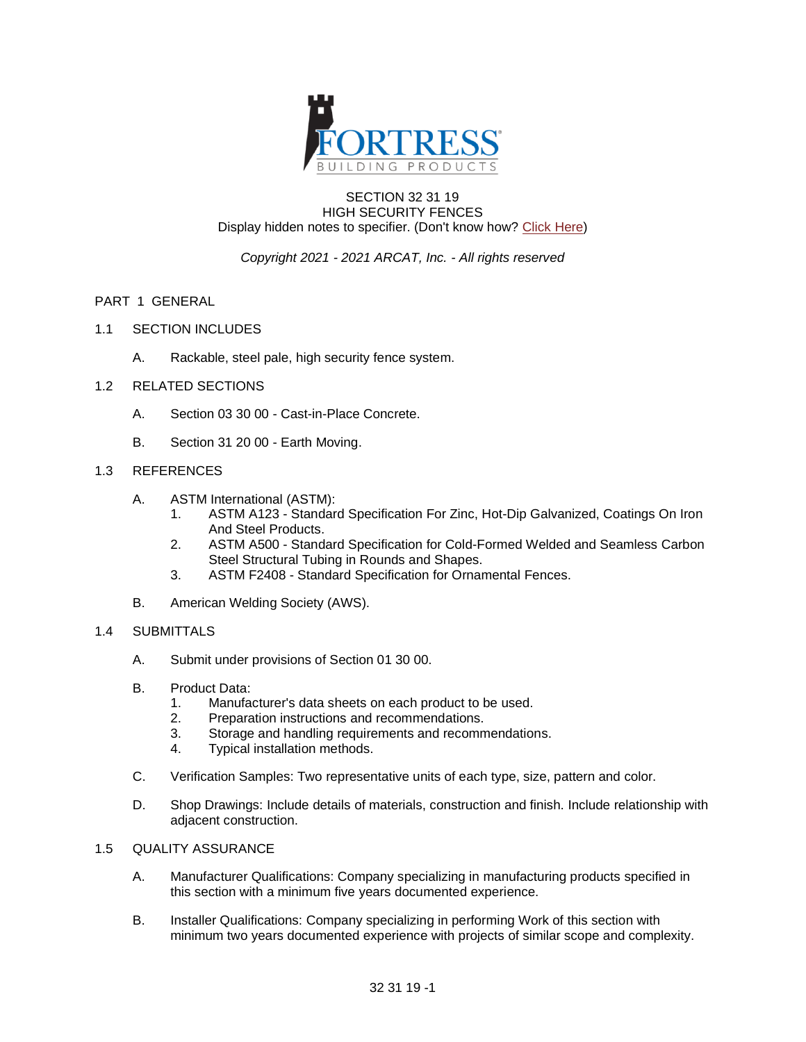

#### SECTION 32 31 19 HIGH SECURITY FENCES Display hidden notes to specifier. (Don't know how? [Click Here\)](https://www.arcat.com/sd/display_hidden_notes.shtml)

# *Copyright 2021 - 2021 ARCAT, Inc. - All rights reserved*

## PART 1 GENERAL

- 1.1 SECTION INCLUDES
	- A. Rackable, steel pale, high security fence system.
- 1.2 RELATED SECTIONS
	- A. Section 03 30 00 Cast-in-Place Concrete.
	- B. Section 31 20 00 Earth Moving.

# 1.3 REFERENCES

- A. ASTM International (ASTM):
	- 1. ASTM A123 Standard Specification For Zinc, Hot-Dip Galvanized, Coatings On Iron And Steel Products.
	- 2. ASTM A500 Standard Specification for Cold-Formed Welded and Seamless Carbon Steel Structural Tubing in Rounds and Shapes.
	- 3. ASTM F2408 Standard Specification for Ornamental Fences.
- B. American Welding Society (AWS).

#### 1.4 SUBMITTALS

- A. Submit under provisions of Section 01 30 00.
- B. Product Data:
	- 1. Manufacturer's data sheets on each product to be used.
	- 2. Preparation instructions and recommendations.
	- 3. Storage and handling requirements and recommendations.
	- 4. Typical installation methods.
- C. Verification Samples: Two representative units of each type, size, pattern and color.
- D. Shop Drawings: Include details of materials, construction and finish. Include relationship with adjacent construction.

# 1.5 QUALITY ASSURANCE

- A. Manufacturer Qualifications: Company specializing in manufacturing products specified in this section with a minimum five years documented experience.
- B. Installer Qualifications: Company specializing in performing Work of this section with minimum two years documented experience with projects of similar scope and complexity.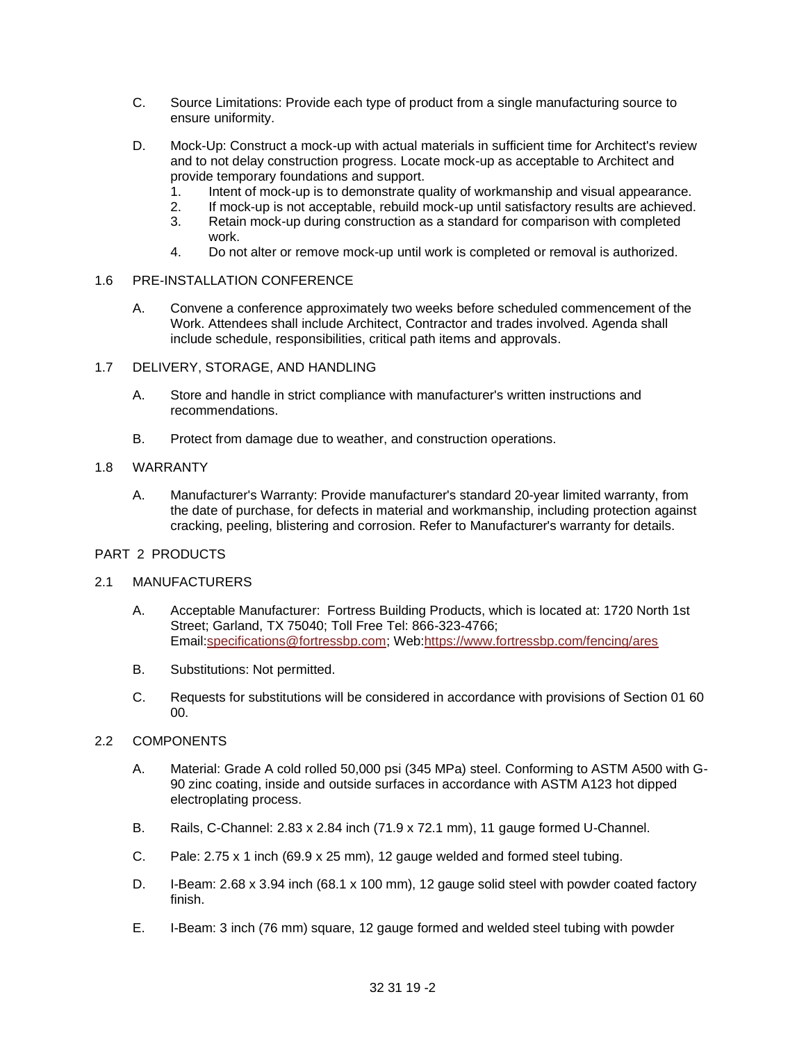- C. Source Limitations: Provide each type of product from a single manufacturing source to ensure uniformity.
- D. Mock-Up: Construct a mock-up with actual materials in sufficient time for Architect's review and to not delay construction progress. Locate mock-up as acceptable to Architect and provide temporary foundations and support.
	- 1. Intent of mock-up is to demonstrate quality of workmanship and visual appearance.
	- 2. If mock-up is not acceptable, rebuild mock-up until satisfactory results are achieved.<br>3. Retain mock-up during construction as a standard for comparison with completed
	- Retain mock-up during construction as a standard for comparison with completed work.
	- 4. Do not alter or remove mock-up until work is completed or removal is authorized.

#### 1.6 PRE-INSTALLATION CONFERENCE

- A. Convene a conference approximately two weeks before scheduled commencement of the Work. Attendees shall include Architect, Contractor and trades involved. Agenda shall include schedule, responsibilities, critical path items and approvals.
- 1.7 DELIVERY, STORAGE, AND HANDLING
	- A. Store and handle in strict compliance with manufacturer's written instructions and recommendations.
	- B. Protect from damage due to weather, and construction operations.

#### 1.8 WARRANTY

A. Manufacturer's Warranty: Provide manufacturer's standard 20-year limited warranty, from the date of purchase, for defects in material and workmanship, including protection against cracking, peeling, blistering and corrosion. Refer to Manufacturer's warranty for details.

#### PART 2 PRODUCTS

## 2.1 MANUFACTURERS

- A. Acceptable Manufacturer: Fortress Building Products, which is located at: 1720 North 1st Street; Garland, TX 75040; Toll Free Tel: 866-323-4766; Email[:specifications@fortressbp.com;](mailto:specifications@fortressbp.com?subject=RE:%20Spec%20Question%20(02825for):%20%20&mf=) Web[:https://www.fortressbp.com/fencing/ares](https://www.fortressbp.com/fencing/ares)
- B. Substitutions: Not permitted.
- C. Requests for substitutions will be considered in accordance with provisions of Section 01 60 00.

## 2.2 COMPONENTS

- A. Material: Grade A cold rolled 50,000 psi (345 MPa) steel. Conforming to ASTM A500 with G-90 zinc coating, inside and outside surfaces in accordance with ASTM A123 hot dipped electroplating process.
- B. Rails, C-Channel: 2.83 x 2.84 inch (71.9 x 72.1 mm), 11 gauge formed U-Channel.
- C. Pale: 2.75 x 1 inch (69.9 x 25 mm), 12 gauge welded and formed steel tubing.
- D. I-Beam: 2.68 x 3.94 inch (68.1 x 100 mm), 12 gauge solid steel with powder coated factory finish.
- E. I-Beam: 3 inch (76 mm) square, 12 gauge formed and welded steel tubing with powder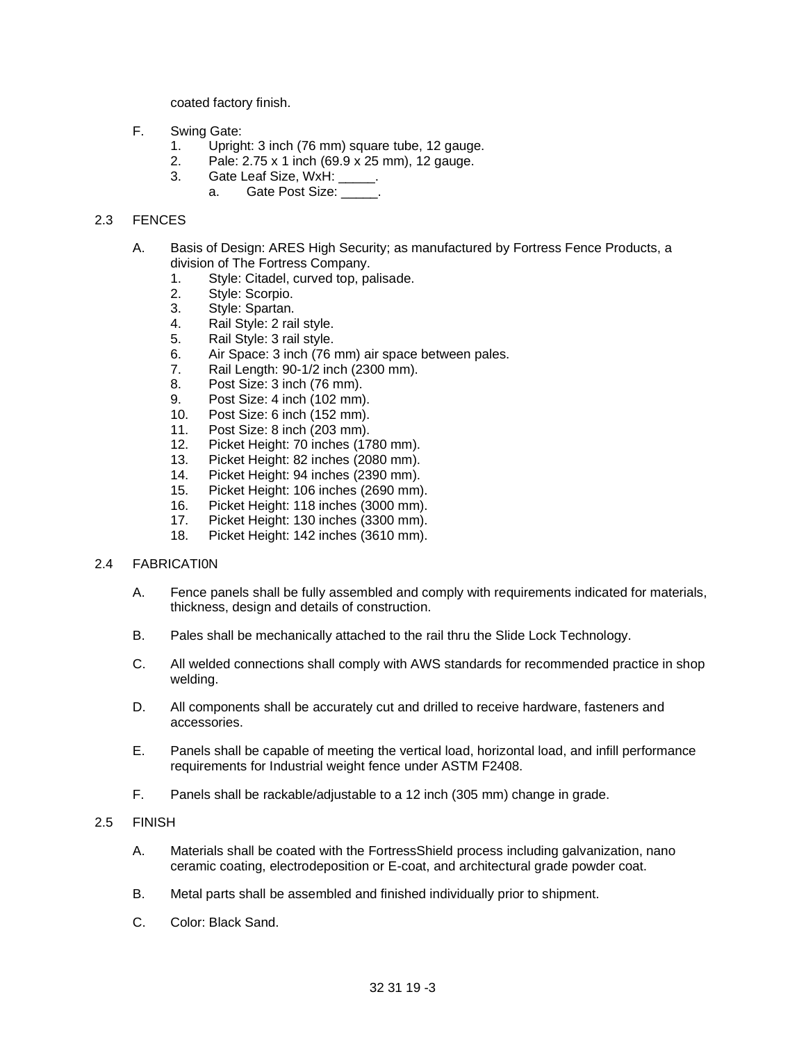coated factory finish.

- F. Swing Gate:
	- 1. Upright: 3 inch (76 mm) square tube, 12 gauge.
	- 2. Pale: 2.75 x 1 inch (69.9 x 25 mm), 12 gauge.
	- 3. Gate Leaf Size, WxH: .
		- a. Gate Post Size: \_\_\_\_\_.

## 2.3 FENCES

- A. Basis of Design: ARES High Security; as manufactured by Fortress Fence Products, a division of The Fortress Company.
	- 1. Style: Citadel, curved top, palisade.
	- 2. Style: Scorpio.
	- 3. Style: Spartan.
	- 4. Rail Style: 2 rail style.
	- 5. Rail Style: 3 rail style.
	- 6. Air Space: 3 inch (76 mm) air space between pales.
	- 7. Rail Length: 90-1/2 inch (2300 mm).<br>8. Post Size: 3 inch (76 mm).
	- Post Size: 3 inch (76 mm).
	- 9. Post Size: 4 inch (102 mm).
	- 10. Post Size: 6 inch (152 mm).
	- 11. Post Size: 8 inch (203 mm).
	- 12. Picket Height: 70 inches (1780 mm).
	- 13. Picket Height: 82 inches (2080 mm).
	- 14. Picket Height: 94 inches (2390 mm).
	- 15. Picket Height: 106 inches (2690 mm).
	- 16. Picket Height: 118 inches (3000 mm).
	- 17. Picket Height: 130 inches (3300 mm).
	- 18. Picket Height: 142 inches (3610 mm).

## 2.4 FABRICATI0N

- A. Fence panels shall be fully assembled and comply with requirements indicated for materials, thickness, design and details of construction.
- B. Pales shall be mechanically attached to the rail thru the Slide Lock Technology.
- C. All welded connections shall comply with AWS standards for recommended practice in shop welding.
- D. All components shall be accurately cut and drilled to receive hardware, fasteners and accessories.
- E. Panels shall be capable of meeting the vertical load, horizontal load, and infill performance requirements for Industrial weight fence under ASTM F2408.
- F. Panels shall be rackable/adjustable to a 12 inch (305 mm) change in grade.
- 2.5 FINISH
	- A. Materials shall be coated with the FortressShield process including galvanization, nano ceramic coating, electrodeposition or E-coat, and architectural grade powder coat.
	- B. Metal parts shall be assembled and finished individually prior to shipment.
	- C. Color: Black Sand.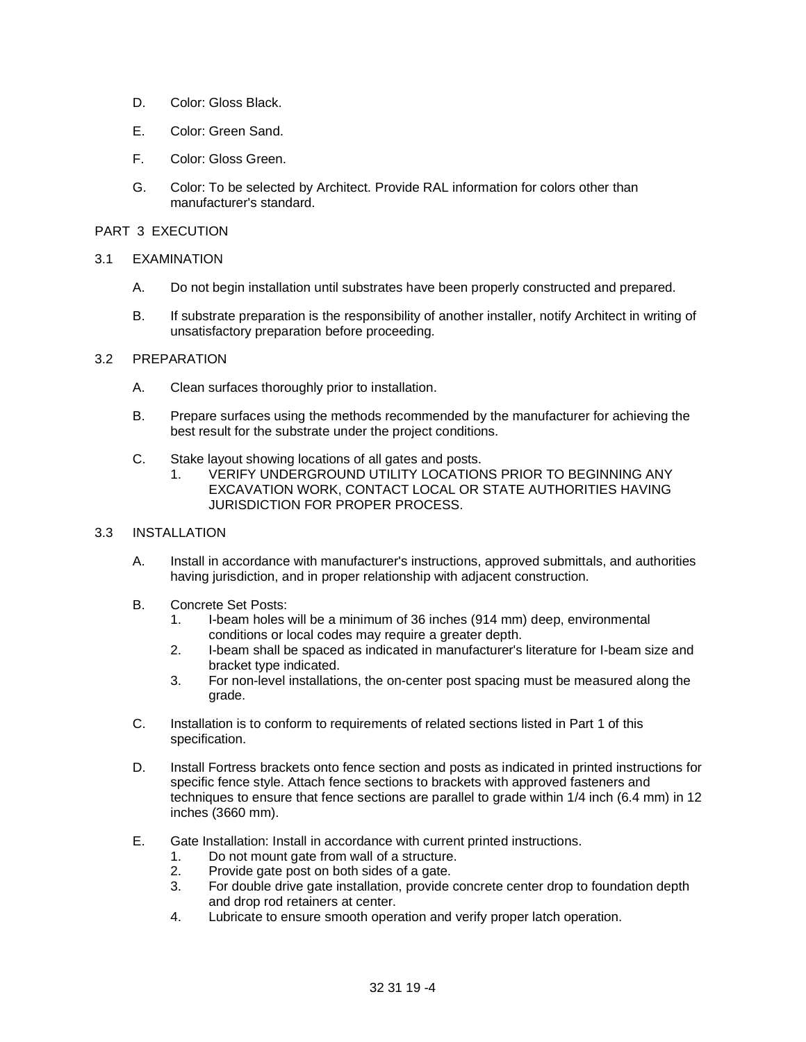- D. Color: Gloss Black.
- E. Color: Green Sand.
- F. Color: Gloss Green.
- G. Color: To be selected by Architect. Provide RAL information for colors other than manufacturer's standard.

### PART 3 EXECUTION

#### 3.1 EXAMINATION

- A. Do not begin installation until substrates have been properly constructed and prepared.
- B. If substrate preparation is the responsibility of another installer, notify Architect in writing of unsatisfactory preparation before proceeding.

#### 3.2 PREPARATION

- A. Clean surfaces thoroughly prior to installation.
- B. Prepare surfaces using the methods recommended by the manufacturer for achieving the best result for the substrate under the project conditions.
- C. Stake layout showing locations of all gates and posts.
	- 1. VERIFY UNDERGROUND UTILITY LOCATIONS PRIOR TO BEGINNING ANY EXCAVATION WORK, CONTACT LOCAL OR STATE AUTHORITIES HAVING JURISDICTION FOR PROPER PROCESS.

#### 3.3 INSTALLATION

- A. Install in accordance with manufacturer's instructions, approved submittals, and authorities having jurisdiction, and in proper relationship with adjacent construction.
- B. Concrete Set Posts:
	- 1. I-beam holes will be a minimum of 36 inches (914 mm) deep, environmental conditions or local codes may require a greater depth.
	- 2. I-beam shall be spaced as indicated in manufacturer's literature for I-beam size and bracket type indicated.
	- 3. For non-level installations, the on-center post spacing must be measured along the grade.
- C. Installation is to conform to requirements of related sections listed in Part 1 of this specification.
- D. Install Fortress brackets onto fence section and posts as indicated in printed instructions for specific fence style. Attach fence sections to brackets with approved fasteners and techniques to ensure that fence sections are parallel to grade within 1/4 inch (6.4 mm) in 12 inches (3660 mm).
- E. Gate Installation: Install in accordance with current printed instructions.
	- 1. Do not mount gate from wall of a structure.
	- 2. Provide gate post on both sides of a gate.
	- 3. For double drive gate installation, provide concrete center drop to foundation depth and drop rod retainers at center.
	- 4. Lubricate to ensure smooth operation and verify proper latch operation.